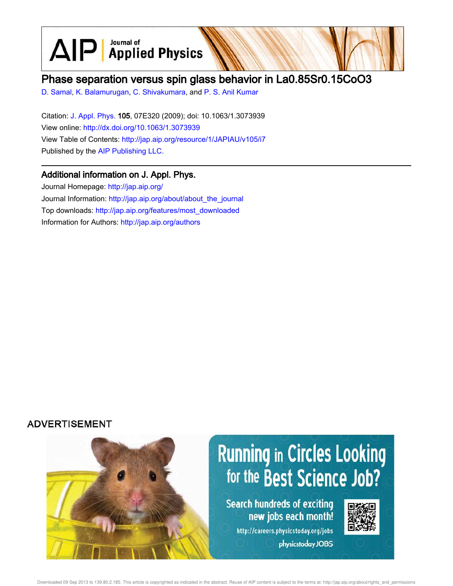$\text{AlP}$  Applied Physics Journal of

## Phase separation versus spin glass behavior in La0.85Sr0.15CoO3

D. Samal, K. Balamurugan, C. Shivakumara, and P. S. Anil Kumar

Citation: J. Appl. Phys. 105, 07E320 (2009); doi: 10.1063/1.3073939 View online: http://dx.doi.org/10.1063/1.3073939 View Table of Contents: http://jap.aip.org/resource/1/JAPIAU/v105/i7 Published by the AIP Publishing LLC.

## Additional information on J. Appl. Phys.

Journal Homepage: http://jap.aip.org/ Journal Information: http://jap.aip.org/about/about\_the\_journal Top downloads: http://jap.aip.org/features/most\_downloaded Information for Authors: http://jap.aip.org/authors

## **ADVERTISEMENT**

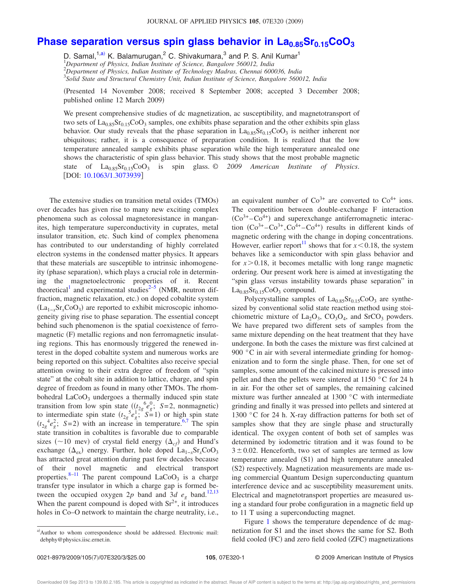## **Phase separation versus spin glass behavior in La0.85Sr0.15CoO<sup>3</sup>**

D. Samal,<sup>1,a)</sup> K. Balamurugan,<sup>2</sup> C. Shivakumara,<sup>3</sup> and P. S. Anil Kumar<sup>1</sup> *Department of Physics, Indian Institute of Science, Bangalore 560012, India Department of Physics, Indian Institute of Technology Madras, Chennai 600036, India Solid State and Structural Chemistry Unit, Indian Institute of Science, Bangalore 560012, India*

Presented 14 November 2008; received 8 September 2008; accepted 3 December 2008; published online 12 March 2009)

We present comprehensive studies of dc magnetization, ac susceptibility, and magnetotransport of two sets of  $\text{La}_{0.85}\text{Sr}_{0.15}\text{CoO}_3$  samples, one exhibits phase separation and the other exhibits spin glass behavior. Our study reveals that the phase separation in  $La<sub>0.85</sub>Sr<sub>0.15</sub>CoO<sub>3</sub>$  is neither inherent nor ubiquitous; rather, it is a consequence of preparation condition. It is realized that the low temperature annealed sample exhibits phase separation while the high temperature annealed one shows the characteristic of spin glass behavior. This study shows that the most probable magnetic state of La<sub>0.85</sub>Sr<sub>0.15</sub>CoO<sub>3</sub> is spin glass. © 2009 American Institute of Physics. [DOI: 10.1063/1.3073939]

The extensive studies on transition metal oxides (TMOs) over decades has given rise to many new exciting complex phenomena such as colossal magnetoresistance in manganites, high temperature superconductivity in cuprates, metal insulator transition, etc. Such kind of complex phenomena has contributed to our understanding of highly correlated electron systems in the condensed matter physics. It appears that these materials are susceptible to intrinsic inhomogeneity (phase separation), which plays a crucial role in determining the magnetoelectronic properties of it. Recent theoretical<sup>1</sup> and experimental studies<sup>2–5</sup> (NMR, neutron diffraction, magnetic relaxation, etc.) on doped cobaltite system  $(La_{1-x}Sr_xCoO_3)$  are reported to exhibit microscopic inhomogeneity giving rise to phase separation. The essential concept behind such phenomenon is the spatial coexistence of ferromagnetic (F) metallic regions and non ferromagnetic insulating regions. This has enormously triggered the renewed interest in the doped cobaltite system and numerous works are being reported on this subject. Cobaltites also receive special attention owing to their extra degree of freedom of "spin state" at the cobalt site in addition to lattice, charge, and spin degree of freedom as found in many other TMOs. The rhombohedral  $LaCoO<sub>3</sub>$  undergoes a thermally induced spin state transition from low spin state  $(t_{2g}^6 e_g^0; S=2, \text{ nonmagnetic})$ <br>to intermediate spin state  $(t_{2g}^5 e_g^1; S=1)$  or high spin state  $(t_{2g}^4 e_g^2; S=2)$  with an increase in temperature.<sup>6,7</sup> The spin state transition in cobaltites is favorable due to comparable sizes ( $\sim$ 10 mev) of crystal field energy ( $\Delta_{cf}$ ) and Hund's exchange  $(\Delta_{ex})$  energy. Further, hole doped  $La_{1-x}Sr_xCoO_3$ has attracted great attention during past few decades because of their novel magnetic and electrical transport properties.<sup>8–11</sup> The parent compound  $LaCoO<sub>3</sub>$  is a charge transfer type insulator in which a charge gap is formed between the occupied oxygen 2p band and 3d  $e_g$  band.<sup>12,13</sup> When the parent compound is doped with  $Sr^{2+}$ , it introduces holes in Co–O network to maintain the charge neutrality, i.e.,

an equivalent number of  $Co^{3+}$  are converted to  $Co^{4+}$  ions. The competition between double-exchange F interaction  $(Co<sup>3+</sup> – Co<sup>4+</sup>)$  and superexchange antiferromagnetic interaction  $(Co^{3+} - Co^{3+}, Co^{4+} - Co^{4+})$  results in different kinds of magnetic ordering with the change in doping concentrations. However, earlier report<sup>11</sup> shows that for  $x \le 0.18$ , the system behaves like a semiconductor with spin glass behavior and for  $x > 0.18$ , it becomes metallic with long range magnetic ordering. Our present work here is aimed at investigating the "spin glass versus instability towards phase separation" in  $La<sub>0.85</sub>Sr<sub>0.15</sub>CoO<sub>3</sub> compound.$ 

Polycrystalline samples of  $La<sub>0.85</sub>Sr<sub>0.15</sub>CoO<sub>3</sub>$  are synthesized by conventional solid state reaction method using stoichiometric mixture of  $La_2O_3$ ,  $CO_3O_4$ , and  $SrCO_3$  powders. We have prepared two different sets of samples from the same mixture depending on the heat treatment that they have undergone. In both the cases the mixture was first calcined at 900 °C in air with several intermediate grinding for homogenization and to form the single phase. Then, for one set of samples, some amount of the calcined mixture is pressed into pellet and then the pellets were sintered at 1150 °C for 24 h in air. For the other set of samples, the remaining calcined mixture was further annealed at 1300 °C with intermediate grinding and finally it was pressed into pellets and sintered at 1300 °C for 24 h. X-ray diffraction patterns for both set of samples show that they are single phase and structurally identical. The oxygen content of both set of samples was determined by iodometric titration and it was found to be  $3\pm0.02$ . Henceforth, two set of samples are termed as low temperature annealed (S1) and high temperature annealed (S2) respectively. Magnetization measurements are made using commercial Quantum Design superconducting quantum interference device and ac susceptibility measurement units. Electrical and magnetotransport properties are measured using a standard four probe configuration in a magnetic field up to 11 T using a superconducting magnet.

Figure 1 shows the temperature dependence of dc magnetization for S1 and the inset shows the same for S2. Both field cooled (FC) and zero field cooled (ZFC) magnetizations

a)Author to whom correspondence should be addressed. Electronic mail: debphy@physics.iisc.ernet.in.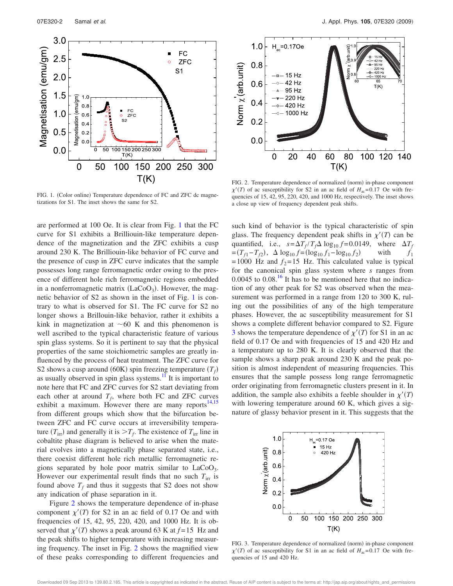

FIG. 1. (Color online) Temperature dependence of FC and ZFC dc magnetizations for S1. The inset shows the same for S2.

are performed at 100 Oe. It is clear from Fig. 1 that the FC curve for S1 exhibits a Brilliouin-like temperature dependence of the magnetization and the ZFC exhibits a cusp around 230 K. The Brilliouin-like behavior of FC curve and the presence of cusp in ZFC curve indicates that the sample possesses long range ferromagnetic order owing to the presence of different hole rich ferromagnetic regions embedded in a nonferromagnetic matrix  $(LaCoO<sub>3</sub>)$ . However, the magnetic behavior of S2 as shown in the inset of Fig. 1 is contrary to what is observed for S1. The FC curve for S2 no longer shows a Brillouin-like behavior, rather it exhibits a kink in magnetization at  $\sim 60$  K and this phenomenon is well ascribed to the typical characteristic feature of various spin glass systems. So it is pertinent to say that the physical properties of the same stoichiometric samples are greatly influenced by the process of heat treatment. The ZFC curve for S2 shows a cusp around (60K) spin freezing temperature  $(T_f)$ as usually observed in spin glass systems. $\frac{11}{11}$  It is important to note here that FC and ZFC curves for S2 start deviating from each other at around  $T_f$ , where both FC and ZFC curves exhibit a maximum. However there are many reports<sup>14,15</sup> from different groups which show that the bifurcation between ZFC and FC curve occurs at irreversibility temperature  $(T_{irr})$  and generally it is  $>T_f$ . The existence of  $T_{irr}$  line in cobaltite phase diagram is believed to arise when the material evolves into a magnetically phase separated state, i.e., there coexist different hole rich metallic ferromagnetic regions separated by hole poor matrix similar to  $LaCoO<sub>3</sub>$ . However our experimental result finds that no such  $T_{irr}$  is found above  $T_f$  and thus it suggests that S2 does not show any indication of phase separation in it.

Figure 2 shows the temperature dependence of in-phase component  $\chi'(T)$  for S2 in an ac field of 0.17 Oe and with frequencies of 15, 42, 95, 220, 420, and 1000 Hz. It is observed that  $\chi'(T)$  shows a peak around 63 K at  $f=15$  Hz and the peak shifts to higher temperature with increasing measuring frequency. The inset in Fig. 2 shows the magnified view of these peaks corresponding to different frequencies and



FIG. 2. Temperature dependence of normalized (norm) in-phase component  $\chi'(T)$  of ac susceptibility for S2 in an ac field of  $H_{ac} = 0.17$  Oe with frequencies of 15, 42, 95, 220, 420, and 1000 Hz, respectively. The inset shows a close up view of frequency dependent peak shifts.

such kind of behavior is the typical characteristic of spin glass. The frequency dependent peak shifts in  $\chi'(T)$  can be quantified, i.e.,  $s = \Delta T_f / T_f \Delta \log_{10} f = 0.0149$ , where  $\Delta T_f$  $=(T_{f1} - T_{f2}), \ \ \Delta \log_{10} f = (\log_{10} f_1 - \log_{10} f_2)$ with  $f_1$  $= 1000$  Hz and  $f_2 = 15$  Hz. This calculated value is typical for the canonical spin glass system where *s* ranges from  $0.0045$  to  $0.08<sup>16</sup>$  It has to be mentioned here that no indication of any other peak for S2 was observed when the measurement was performed in a range from 120 to 300 K, ruling out the possibilities of any of the high temperature phases. However, the ac susceptibility measurement for S1 shows a complete different behavior compared to S2. Figure 3 shows the temperature dependence of  $\chi'(T)$  for S1 in an ac field of 0.17 Oe and with frequencies of 15 and 420 Hz and a temperature up to 280 K. It is clearly observed that the sample shows a sharp peak around 230 K and the peak position is almost independent of measuring frequencies. This ensures that the sample possess long range ferromagnetic order originating from ferromagnetic clusters present in it. In addition, the sample also exhibits a feeble shoulder in  $\chi'(T)$ with lowering temperature around 60 K, which gives a signature of glassy behavior present in it. This suggests that the



FIG. 3. Temperature dependence of normalized (norm) in-phase component  $\chi'(T)$  of ac susceptibility for S1 in an ac field of  $H_{ac} = 0.17$  Oe with frequencies of 15 and 420 Hz.